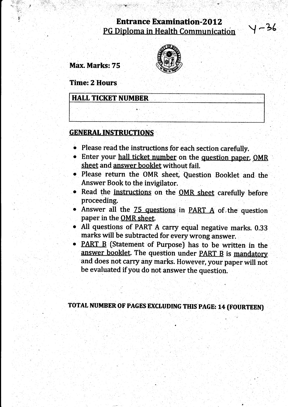# **Entrance Examination-2012** PG Diploma in Health Communication

 $\sim$ 

.t

Y -36

Max, Marks: 75

inl:. :i:-j].. " :,.a\_.;;::..:a, . . .': ',. ::  $\mathcal{A} \subset \mathcal{A}$ 



Time: 2 Hours

**HALL TICKET NUMBER** 

,:

# GENERAL INSTRUCTIONS

- o Please read the instructions for each section carefully.
- Enter your hall ticket number on the question paper, OMR sheet and answer booklet without fail.
- o Please return the oMR sheet, Question Booklet and the Answer Book to the invigilator.
- Read the instructions on the OMR sheet carefully before proceeding
- Answer all the 75 questions in PART A of the question paper in the OMR sheet.
- All questions of PART A carry equal negative marks. 0.33 marks will be subtracted for every wrong answer.
- PART B (Statement of Purpose) has to be written in the answer booklet. The question under PART B is mandatory and does not carry any marks. However, your paper will no be evaluated if you do not answer the question

TOTAL NUMBER OF PAGES EXCLUDING THIS PAGE: 14 (FOURTEEN)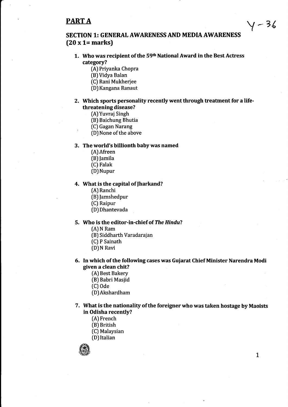# PART A

# SECTION 1: GENERAL AWARENESS AND MEDIA AWARENESS (20 x 1= marks)

- 1. Who was recipient of the 59<sup>th</sup> National Award in the Best Actress category?
	- (A) Priyanka Chopra
	- (B)Vidya Balan
	- (C) Rani Mukherjee
	- (D) Kangana Ranaut
- 2. Which sports personality recently went through treatment for a lifethreatening disease?
	- (A) Yuvraj Singh
	- (B) Baichung Bhutia
	- (C) Gagan Narang
	- (D) None of the above

# 3. The world's billionth baby was named

- (AJAfreen
- (B) Jamila
- (C) Falak
- (D) Nupur

# 4. What is the capital of Jharkand?

- [A) Ranchi
- [B) lamshedpur
- (CJ Raipur
- (D) Dhantevada

# 5. Who is the editor-in-chief of The Hindu?

- (A) N Ram
- (B) Siddharth Varadarajan
- (C) P Sainath
- (D) N Ravi

# 6. In which of the following cases was Guiarat Chief Minister Narendra Modi given a clean chit?

- (A) Best Bakery
- (Bl Babri Masjid
- (C) ode
- (D)Akshardham
- 7. What is the nationality of the foreigner who was taken hostage by Maoists in Odisha recently?
	- [A) French
	- (B) British
	- (C) Malaysian
	- (D) Italian



 $y - 36$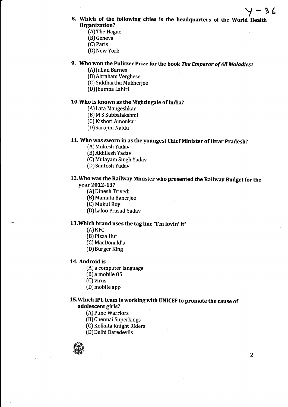- 8. Which of the following cities is the headquarters of the World Health Organization?
	- (AJThe Hague
	- (B) Geneva
	- (C) Paris
	- (D) New York
- 9. Who won the Pulitzer Prize for the book The Emperor of All Maladies?
	- (A) Julian Barnes
	- (B)Abraham Verghese
	- [C) Siddhartha Mukherjee
	- (DJfhumpa Lahiri

# 10.Who is known as the Nightingale of India?

- [A) Lata Mangeshkar
- [B) M S Subbalakshmi
- (C) Kishori Amonkar
- (D)Sarojini Naidu

# 11. Who was sworn in as the youngest Chief Minister of Uttar Pradesh?

- (A) Mukesh Yadav
- (B) Akhilesh Yadav
- (C) Mulayam Singh Yadav
- (D)Santosh Yadav

# 12.Who was the Railway Minister who presented the Railway Budget for the vear 2012-13?

- (A) Dinesh Trivedi
- (B) Mamata Banerjee
- (CJ Mukul Roy
- (D) Laloo Prasad Yadav

# 13. Which brand uses the tag line "I'm lovin' it"

- [A] KFC
- (B) Pizza Hut
- (C) MacDonald's
- [D) Burger King

# 14. Android is

- (A) a computer language
- (B) a mobile OS
- (C) virus
- (D)mobile app

# 15. Which IPL team is working with UNICEF to promote the cause of adolescent girls?

- (AJ Pune Warriors
- (BJ Chennai Superkings
- (C) Kolkata Knight Riders
- ID) Delhi Daredevils

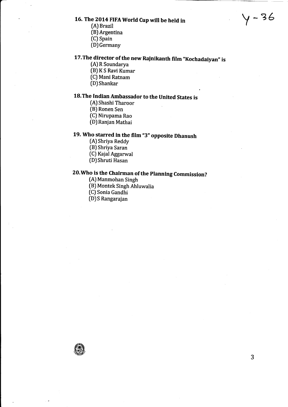# 16. The 2014 FIFA World Cup will be held in

- [A) Brazil
- (B) Argentina
- (C) Spain
- (D)Germany

# 17. The director of the new Rajnikanth film "Kochadaiyan" is

- (A) R Soundarya
- $(B)$ KS Ravi Kumar
- (C) Mani Ratnam
- (DJ Shanka

# 18.The Indian Ambassador to the United States is

- (A) Shashi Tharoor
- [B) Ronen Sen
- [C) Nirupama Rao
- (D) Ranjan Mathai

# 19. Who starred in the film "3" opposite Dhanush

- (A) Shriya Reddy
- (B) Shriya Saran
- [C) Kajal Aggarwal
- (D)Shruti Hasan

# 20.Who is the Chairman of the planning Commission?

- (A) Manmohan Singh
- (B) Montek Singh Ahluwalia
- [C) Sonia Gandhi
- [D)S Rangarajan



Y-?6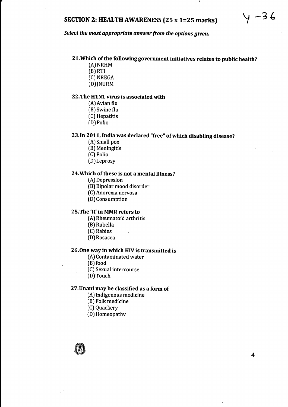# SECTION 2: HEALTH AWARENESS (25 x 1=25 marks)  $\forall$  -3 6

Select the most appropriate answer from the options given,

# Zl.Which of the followinggovernment initiatives relates to public health?

- (A) NRHM
- $(B)$  RTI
- (c) NREGA
- (D)INURM

# 22.The H1N1 virus is associated with

- (A)Avian flu
- (B) Swine flu
- [C) Hepatitis
- (D) Polio

# 23. In 2011, India was declared "free" of which disabling disease?

- (A) Small pox
- (B) Meningitis
- [C) Polio
- (D) Leprosy

# 24. Which of these is not a mental illness?

- (A) Depression
- (B) Bipolar mood disorder
- (C) Anorexia nervosa
- (D)Consumption

# 25.The'R' in MMR refers to

- (A) Rheumatoid arthritis
- [B) Rubella
- (C) Rabies
- ID) Rosacea

## 26.One way in which HIV is transmitted is

- (A) Contaminated water
- (BJ food
- (C) Sexual intercourse
- (D)Touch

# 27.Unani may be classified as a form of

- (A) fndigenous medicine
- (B) Folk medicine
- [C) Quackery
- (D) Homeopathy

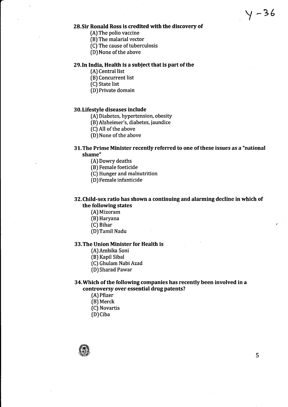$y - 36$ 

# 28.Sir Ronald Ross is credited with the discovery of

- (A) The polio vaccine
- (B) The malarial vector
- [C) The cause of tuberculosis
- (D) None of the above

# 29.1n India, Health is a subiect that is part of the

- (AJ Central list
- (B) Concurrent list
- (C) State list
- (D) Private domain

# <sup>3</sup>0. Lifestyle diseases include

- (A) Diabetes, hypertension, obesity
- [B) Alzheimer's, diabetes, jaundice
- (C) All of the above
- (D) None of the above

# 31.The Prime Minister recently referred to one of these issues as a "national shame"

- (A) Dowry deaths
- (B) Female foeticide
- (C) Hunger and malnutrition
- (D) Female infanticide

# 32.Child-sex ratio has shown a continuing and alarming decline in which of the following states

- [A) Mizoram
- (B) Haryana
- [C) Bihar
- (D)Tamil Nadu

# 33.The Union Minister for Health is

- [A)Ambika Soni
- (B) Kapil Sibal
- (C) Ghulam Nabi Azad
- [D) Sharad Pawar

# 34. Which of the following companies has recently been involved in a controversy over essential drug patents?

- (A) Pfizer (B) Merck
- (C) Novartis
- (D) Ciba
- 



5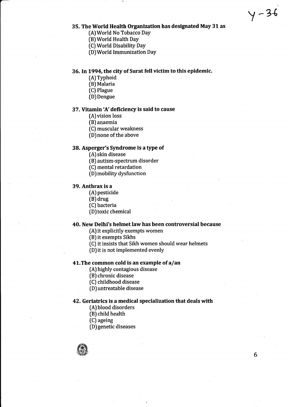# $y - 36$

#### 35. The World Health Organization has designated May 31 as

- (A)World No Tobacco Day
- (B)World Health Day
- [C) World Disability Day
- (D)World Immunization Day

## 36. In 1994, the city of Surat fell victim to this epidemic.

- (A)Typhoid
- (B) Malaria
- [C) Plague
- (D) Dengue

# 37. Vitamin 'A' deficiency is said to cause

- [A) vision loss
- [B) anaemia
- [C) muscular weakness
- (D) none of the above

# 38. Asperger's Syndrome is a type of

- $(A)$  skin disease
- IB) autism-spectrum disorder
- (C) mental retardation
- (D) mobility dysfunction

#### 39. Anthrax is a

- (A) pesticide
- (B) drug
- (C) bacteria
- (D)toxic chemical

# 40. New Delhi's helmet law has been controversial because

- (A) it explicitly exempts women
- [B) it exempts Sikhs
- (C) it insists that Sikh women should wear helmets
- (D)it is not implemented evenly

## 41. The common cold is an example of  $a$ /an

- [A) highly contagious disease
- (B) chronic disease
- (C) childhood disease
- (D) untreatable disease

# 42. Geriatrics is a medical specialization that deals with

- [A) blood disorders
- (B) child health
- (C) ageing
- [D)genetic diseases

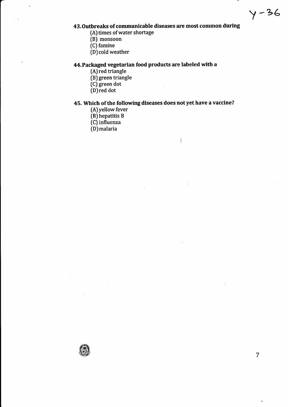# $y - 36$

# 43.Outbreaks of communicable diseases are most common during

- (A) times of water shortage
- [B) monsoon
- (C) famine
- $(D)$  cold weather

# 44.Packaged vegetarian food products are labeled with a

- (A) red triangle
- (B) green triangle
- (C) green dot
- [D)red dot

# 45. Which of the following diseases does not yet have a vaccine?

 $\left( \right)$ 

- (A)yellow fever
- [B) hepatitis <sup>B</sup>
- (C) influenza
- (D)malaria

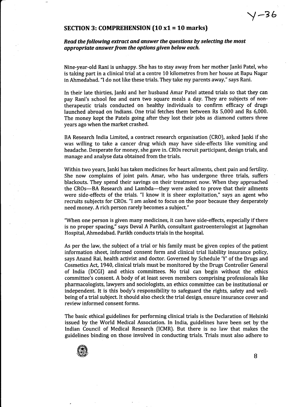# $\sqrt{-36}$

# SECTION 3: COMPREHENSION (10 xl = 10 marks)

# Read the following extract and answer the questions by selecting the most appropriate answer from the options given below each.

Nine-year-old Rani is unhappy. She has to stay away from her mother fanki Patel, who is taking part in a clinical trial at a centre 10 kilometres from her house at Bapu Nagar in Ahmedabad. "I do not like these trials. They take my parents away," says Rani.

In their late thirties, Ianki and her husband Amar Patel attend trials so that they can pay Rani's school fee and earn two square meals a day, They are subjects of nontherapeutic trials conducted on healthy individuals to confirm efficacy of drugs launched abroad on Indians. One trial fetches them between Rs 5,000 and Rs 6,000. The money kept the Patels going after they lost their jobs as diamond cutters three years ago when the market crashed.

BA Research India Limited, a contract research organisation (CRO), asked lanki if she was willing to take a cancer drug which may have side-effects like vomiting and headache. Desperate for money, she gave in. CROs recruit participant, design trials, and manage and analyse data obtained from the trials.

Within two years, fanki has taken medicines for heart ailments, chest pain and fertility. She now complains of joint pain. Amar, who has undergone three trials, suffers blackouts. They spend their savings on their treatment now. When they approached the CROs-BA Research and Lambda-they were asked to prove that their ailments were side-effects of the trials. "I know it is sheer exploitation," says an agent who recruits subjects for CROs. "l am asked to focus on the poor because they desperately need money. A rich person rarely becomes a subject."

"When one person is given many medicines, it can have side-effects, especially if there is no proper spacing," says Deval A Parikh, consultant gastroenterologist at Jagmohan Hospital, Ahmedabad. Parikh conducts trials in the hospital.

As per the law, the subject of a trial or his family must be given copies of the patient information sheet, informed consent form and clinical trial liability insurance policy, says Anand Rai, health activist and doctor. Governed by Schedule 'Y' of the Drugs and Cosmetics Act, 1940, clinical trials must be monitored by the Drugs Controller General of India IDCGI) and ethics committees. No trial can begin without the ethics committee's consent. A body of at least seven members comprising professionals like pharmacologists, lawyers and sociologists, an ethics committee can be institutional or independent. It is this body's responsibility to safeguard the rights, safety and wellbeing ofa trial subject. It should also check the trial design, ensure insurance cover and review informed consent forms.

The basic ethical guidelines for performing clinical trials is the Declaration of Helsinki issued by the World Medical Association. In India, guidelines have been set by the Indian Council of Medical Research [CMR). But there is no law that makes the guidelines binding on those involved in conducting trials. Trials must also adhere to



B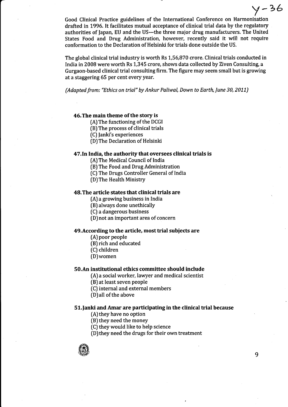Good Clinical Practice guidelines of the International Conference on Harmonisation drafted in L996.It facilitates mutual acceptance of clinical trial data by the regulatory authorities of Japan, EU and the US-the three major drug manufacturers. The United States Food and Drug Administration, however, recently said it will not require conformation to the Declaration of Helsinki for trials done outside the US.

The global clinical trial industry is worth Rs 1,56,870 crore. Clinical trials conducted in India in 2008 were worth Rs 1,345 crore, shows data collected by Ziven Consulting, a Gurgaon-based clinical trial consulting firm. The figure may seem small but is growing at a staggering 65 per cent every year.

(Adapted from: "Ethics on trial" by Ankur Paliwal, Down to Earth, June 30, 201L)

# 46. The main theme of the story is

- (A) The functioning of the DCGI
- (B) The process of clinical trials

(C) fanki's experiences

(D) The Declaration of Helsinki

#### 47.1n India, the authority that oversees clinical trials is

(A) The Medical Council of India

- [B) The Food and Drug Administration
- (C) The Drugs Controller General of India
- [D)The Health Ministry

# 48. The article states that clinical trials are

- (AJ a growing business in India
- (B) always done unethically
- [C) a dangerous business
- (D) not an important area of concern

#### 49.According to the article, most trial subiects are

- (AJ poor people
- (B) rich and educated
- [C) children
- [D)women

#### 50.An institutional ethics committee should include

(A) a social worker, lawyer and medical scientist

- (B) at least seven people
- [C) internal and external members
- [D) all of the above

#### Sl.fanki and Amar are participating in the clinical trial because

- (A) they have no option
- (B) they need the money
- [C) they would like to help science

(D)they need the drugs for their own treatment



 $y - 36$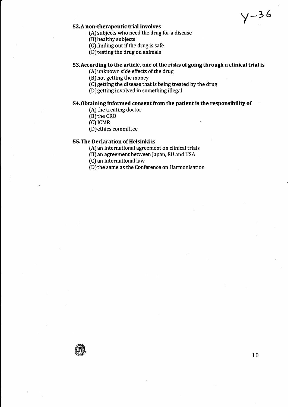$y - 36$ 

# 52.A non-therapeutic trial involves

- (A) subjects who need the drug for a disease
- (BJ healthy subjects
- (C) finding out if the drug is safe

 $(D)$  testing the drug on animals

## S3.According to the article, one of the risks of going through a clinical trial is

- (AJ unknown side effects of the drug
- (B) not getting the money
- (C) getting the disease that is being treated by the drug
- (DJgetting involved in something illegal

# S4.Obtaining informed consent from the patient is the responsibility of

- (A) the treating doctor
- (B) the cRo
- $(C)$  ICMR
- (D)ethics committee

# 55.The Declaration of Helsinki is

(A) an international agreement on clinical trials

(B) an agreement between fapan, EU and USA

[C) an international law

(D)the same as the Conference on Harmonisation

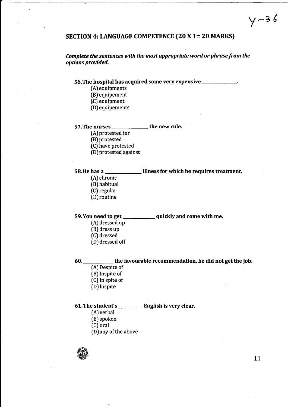# SECTION 4: LANGUAGE COMPETENCE (20 X 1= 20 MARKS)

Complete the sentences with the most appropriate word or phrase from the options provided,

# 56.The hospital has acquired some very expensive

- (A) equipments
- (B) equipement
- [C) equipment
- (D) equipements

# 57. The nurses \_\_\_\_\_\_\_\_\_\_\_\_\_\_\_ the new rule.

- (A) protested for
- IB) protested
- (C) have protested
- (D)protested against

#### 58.He has a illness for which he requires treatment.

- (A) chronic
- (B) habitual
- (C) regular
- [D) routine

#### 59. You need to get \_\_\_\_\_\_\_\_\_\_\_\_\_ quickly and come with me.

- (A) dressed up
- [B) dress up
- [C) dressed
- (D) dressed off

## 60.\_\_\_\_\_\_\_\_\_\_\_\_\_\_\_the favourable recommendation, he did not get the job.

- (A) Despite of (B) Inspite of (C) In spite of
- (D) Inspite

# 61. The student's \_\_\_\_\_\_\_\_\_\_ English is very clear.

- (A) verbal
- (B) spoken
- (C) oral
- (D) any of the above

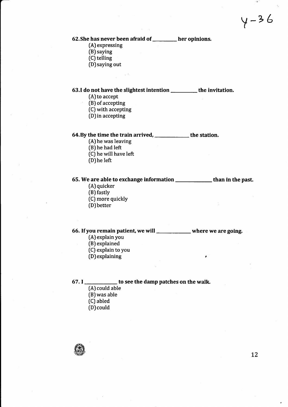$y - 36$ 

# 62. She has never been afraid of \_\_\_\_\_\_\_ her opinions.

(A) expressing

- (B) saying
- $(C)$  telling
- (DJsaying out

# 63.I do not have the slightest intention \_\_\_\_\_\_\_\_\_ the invitation.

- (A) to accept
- $(B)$  of accepting
- (C) with accepting
- (D)in accepting

# 64. By the time the train arrived, **witch the station**

- (A)he was leaving
- (B) he had left
- (C) he will have left
- (D)he left

# 65. We are able to exchange information **with all constructs** than in the past.

- [A) quicker
- [B) fastly
- (C) more quickly
- (DJ better

# 66. If you remain patient, we will  $\frac{1}{\sqrt{1-\frac{1}{\sqrt{1-\frac{1}{\sqrt{1-\frac{1}{\sqrt{1-\frac{1}{\sqrt{1-\frac{1}{\sqrt{1-\frac{1}{\sqrt{1-\frac{1}{\sqrt{1-\frac{1}{\sqrt{1-\frac{1}{\sqrt{1-\frac{1}{\sqrt{1-\frac{1}{\sqrt{1-\frac{1}{\sqrt{1-\frac{1}{\sqrt{1-\frac{1}{\sqrt{1-\frac{1}{\sqrt{1-\frac{1}{\sqrt{1-\frac{1}{\sqrt{1-\frac{1}{\sqrt{1-\frac{1}{\sqrt{1-\frac{1}{$

- $(A)$  explain you
- (B) explained
- [C) explain to you
- (D)explaining ,

## 67. I \_\_\_\_\_\_\_\_\_\_\_\_ to see the damp patches on the walk.

- (A) could able
- [B) was able
- (C) abled
- (D)could

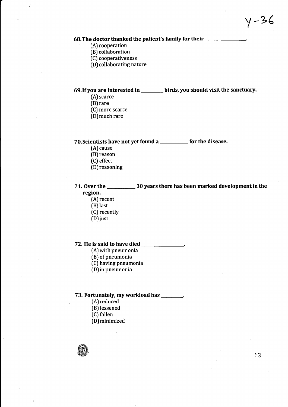## 68. The doctor thanked the patient's family for their \_\_\_\_\_\_\_\_\_\_\_\_\_\_\_\_\_\_\_\_\_\_\_\_\_\_

- (A) cooperation
- (B) collaboration
- (C) cooperativeness
- (D) collaborating nature

# 69. If you are interested in \_\_\_\_\_\_\_\_ birds, you should visit the sanctuary.

[A) scarce

- [B) rare
- [C) more scarce
- fD)much rare

# 70.Scientists have not yet found a \_\_\_\_\_\_\_\_\_\_ for the disease

- [A) cause
- [B) reason
- (C) effect
- (D)reasoning

# 71. Over the 30 years there has been marked development in the region.

- [A) recent
- (BJ last
- 
- (C) recently<br>OD ivst (DJ just
- 

# 72.He is said to have died

- (A)with pneumonia
- (B) of pneumonia
- [C) having pneumonia
- (D)in pneumonia

# 73. Fortunately, my workload has \_\_\_\_\_\_\_.

- (A) reduced
- (B) lessened
- [C) fallen
- (DJminimized